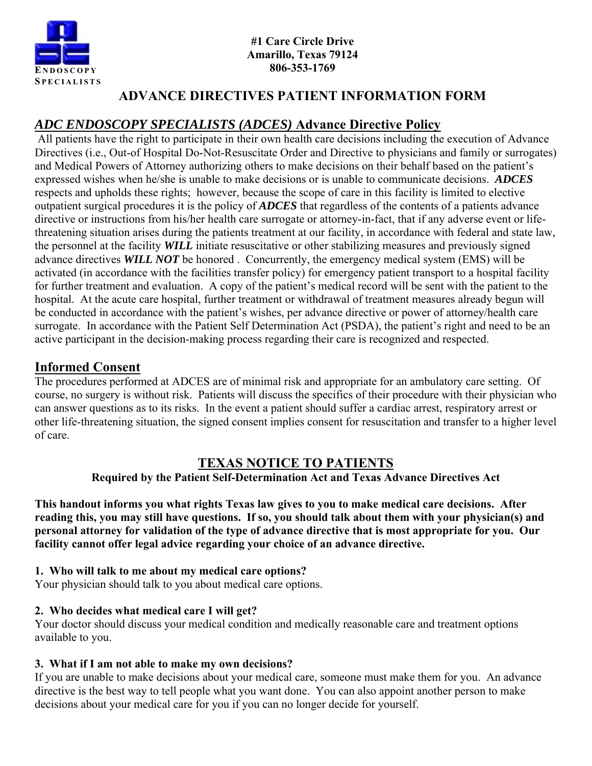

# **ADVANCE DIRECTIVES PATIENT INFORMATION FORM**

# *ADC ENDOSCOPY SPECIALISTS (ADCES)* **Advance Directive Policy**

 All patients have the right to participate in their own health care decisions including the execution of Advance Directives (i.e., Out-of Hospital Do-Not-Resuscitate Order and Directive to physicians and family or surrogates) and Medical Powers of Attorney authorizing others to make decisions on their behalf based on the patient's expressed wishes when he/she is unable to make decisions or is unable to communicate decisions. *ADCES*  respects and upholds these rights; however, because the scope of care in this facility is limited to elective outpatient surgical procedures it is the policy of *ADCES* that regardless of the contents of a patients advance directive or instructions from his/her health care surrogate or attorney-in-fact, that if any adverse event or lifethreatening situation arises during the patients treatment at our facility, in accordance with federal and state law, the personnel at the facility *WILL* initiate resuscitative or other stabilizing measures and previously signed advance directives *WILL NOT* be honored . Concurrently, the emergency medical system (EMS) will be activated (in accordance with the facilities transfer policy) for emergency patient transport to a hospital facility for further treatment and evaluation. A copy of the patient's medical record will be sent with the patient to the hospital. At the acute care hospital, further treatment or withdrawal of treatment measures already begun will be conducted in accordance with the patient's wishes, per advance directive or power of attorney/health care surrogate. In accordance with the Patient Self Determination Act (PSDA), the patient's right and need to be an active participant in the decision-making process regarding their care is recognized and respected.

# **Informed Consent**

The procedures performed at ADCES are of minimal risk and appropriate for an ambulatory care setting. Of course, no surgery is without risk. Patients will discuss the specifics of their procedure with their physician who can answer questions as to its risks. In the event a patient should suffer a cardiac arrest, respiratory arrest or other life-threatening situation, the signed consent implies consent for resuscitation and transfer to a higher level of care.

# **TEXAS NOTICE TO PATIENTS**

## **Required by the Patient Self-Determination Act and Texas Advance Directives Act**

**This handout informs you what rights Texas law gives to you to make medical care decisions. After reading this, you may still have questions. If so, you should talk about them with your physician(s) and personal attorney for validation of the type of advance directive that is most appropriate for you. Our facility cannot offer legal advice regarding your choice of an advance directive.** 

## **1. Who will talk to me about my medical care options?**

Your physician should talk to you about medical care options.

# **2. Who decides what medical care I will get?**

Your doctor should discuss your medical condition and medically reasonable care and treatment options available to you.

# **3. What if I am not able to make my own decisions?**

If you are unable to make decisions about your medical care, someone must make them for you. An advance directive is the best way to tell people what you want done. You can also appoint another person to make decisions about your medical care for you if you can no longer decide for yourself.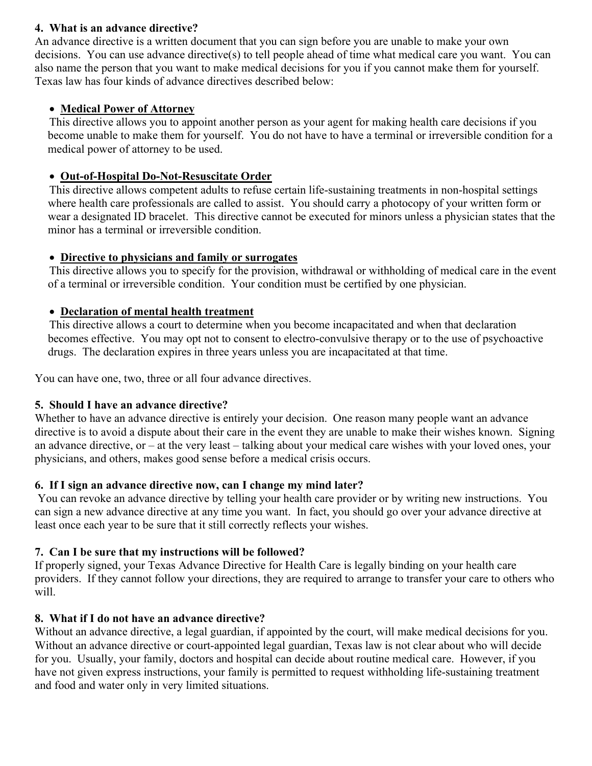#### **4. What is an advance directive?**

An advance directive is a written document that you can sign before you are unable to make your own decisions. You can use advance directive(s) to tell people ahead of time what medical care you want. You can also name the person that you want to make medical decisions for you if you cannot make them for yourself. Texas law has four kinds of advance directives described below:

## **Medical Power of Attorney**

 This directive allows you to appoint another person as your agent for making health care decisions if you become unable to make them for yourself. You do not have to have a terminal or irreversible condition for a medical power of attorney to be used.

## **Out-of-Hospital Do-Not-Resuscitate Order**

 This directive allows competent adults to refuse certain life-sustaining treatments in non-hospital settings where health care professionals are called to assist. You should carry a photocopy of your written form or wear a designated ID bracelet. This directive cannot be executed for minors unless a physician states that the minor has a terminal or irreversible condition.

## **Directive to physicians and family or surrogates**

 This directive allows you to specify for the provision, withdrawal or withholding of medical care in the event of a terminal or irreversible condition. Your condition must be certified by one physician.

## **Declaration of mental health treatment**

 This directive allows a court to determine when you become incapacitated and when that declaration becomes effective. You may opt not to consent to electro-convulsive therapy or to the use of psychoactive drugs. The declaration expires in three years unless you are incapacitated at that time.

You can have one, two, three or all four advance directives.

## **5. Should I have an advance directive?**

Whether to have an advance directive is entirely your decision. One reason many people want an advance directive is to avoid a dispute about their care in the event they are unable to make their wishes known. Signing an advance directive, or – at the very least – talking about your medical care wishes with your loved ones, your physicians, and others, makes good sense before a medical crisis occurs.

## **6. If I sign an advance directive now, can I change my mind later?**

 You can revoke an advance directive by telling your health care provider or by writing new instructions. You can sign a new advance directive at any time you want. In fact, you should go over your advance directive at least once each year to be sure that it still correctly reflects your wishes.

## **7. Can I be sure that my instructions will be followed?**

If properly signed, your Texas Advance Directive for Health Care is legally binding on your health care providers. If they cannot follow your directions, they are required to arrange to transfer your care to others who will.

## **8. What if I do not have an advance directive?**

Without an advance directive, a legal guardian, if appointed by the court, will make medical decisions for you. Without an advance directive or court-appointed legal guardian, Texas law is not clear about who will decide for you. Usually, your family, doctors and hospital can decide about routine medical care. However, if you have not given express instructions, your family is permitted to request withholding life-sustaining treatment and food and water only in very limited situations.